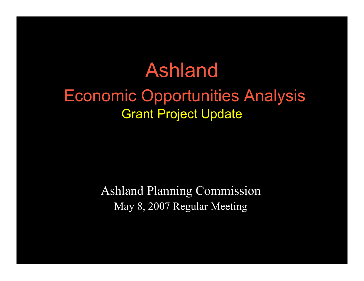# Ashland

### Economic Opportunities Analysis Grant Project Update

Ashland Planning Commission May 8, 2007 Regular Meeting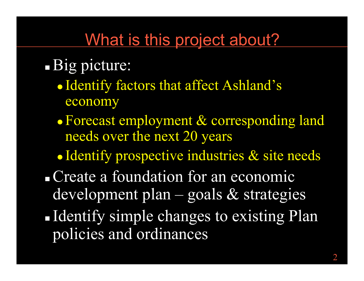## What is this project about?

- П Big picture:
	- $\bullet$  Identify factors that affect Ashland's economy
	- $\bullet$  Forecast employment & corresponding land needs over the next 20 years
	- $\bullet$ Identify prospective industries & site needs
- Create a foundation for an economic development plan – goals  $\&$  strategies
- П Identify simple changes to existing Plan policies and ordinances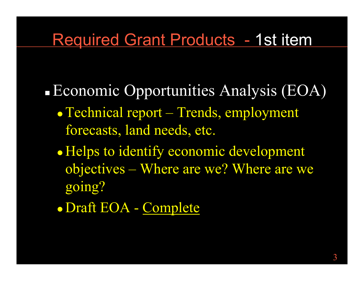## Required Grant Products - 1st item

L. Economic Opportunities Analysis (EOA)

- $\bullet$  Technical report – Trends, employment forecasts, land needs, etc.
- $\bullet$  Helps to identify economic development objectives – Where are we? Where are we going?
- $\bullet$ • Draft EOA - Complete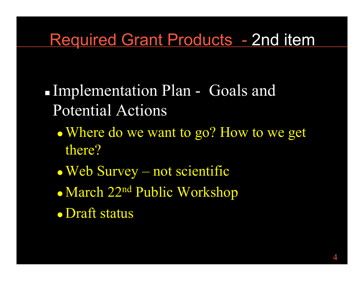- L. Implementation Plan - Goals and Potential Actions
	- $\bullet$  Where do we want to go? How to we get there?
	- $\bullet$ Web Survey – not scientific
	- $\bullet$ March 22n<sup>d</sup> Public Workshop
	- **Draft status**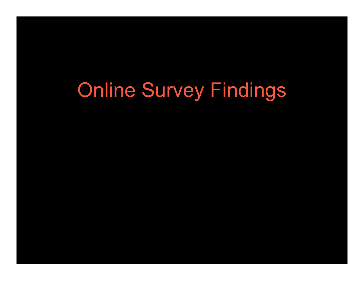# Online Survey Findings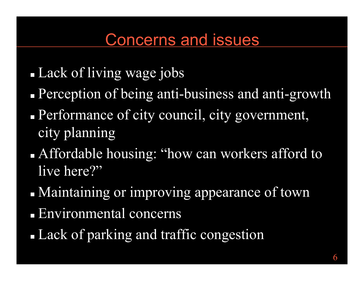## Concerns and issues

- Lack of living wage jobs
- Perception of being anti-business and anti-growth
- Performance of city council, city government, city planning
- Affordable housing: "how can workers afford to live here?"
- Maintaining or improving appearance of town
- Environmental concerns
- Lack of parking and traffic congestion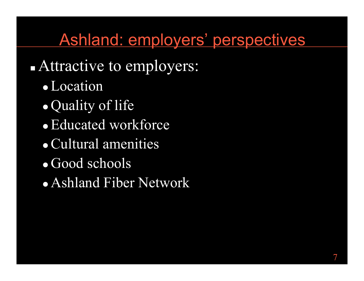## Ashland: employers' perspectives

- $\mathbb{R}^2$ • Attractive to employers:
	- Location
	- $\bullet$ • Quality of life
	- Educated workforce
	- Cultural amenities
	- $\bullet$  Good schools
	- Ashland Fiber Network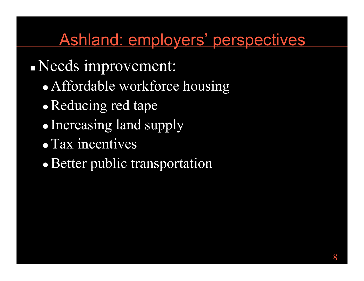Ashland: employers' perspectives

- $\mathbb{R}^2$  Needs improvement:
	- $\bullet$ Affordable workforce housing
	- $\bullet$ Reducing red tape
	- $\bullet$ • Increasing land supply
	- Tax incentives
	- $\bullet$ • Better public transportation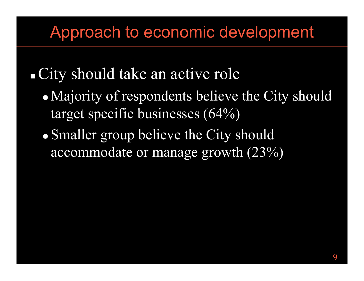## Approach to economic development

 $\mathbb{R}^2$ City should take an active role

- $\bullet$  Majority of respondents believe the City should target specific businesses (64%)
- $\bullet$  Smaller group believe the City should accommodate or manage growth (23%)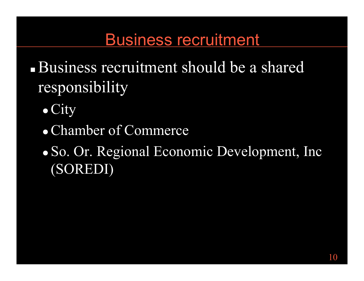## Business recruitment

- Business recruitment should be a shared responsibility
	- $\bullet$ • City
	- Chamber of Commerce
	- $\bullet$ • So. Or. Regional Economic Development, Inc. (SOREDI)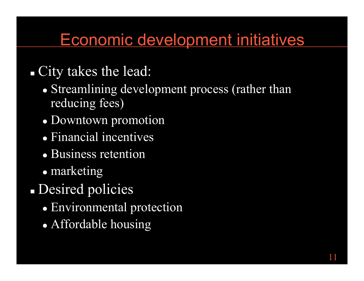## Economic development initiatives

- City takes the lead:
	- Streamlining development process (rather than reducing fees)
	- Downtown promotion
	- Financial incentives
	- Business retention
	- marketing
- Desired policies
	- Environmental protection
	- Affordable housing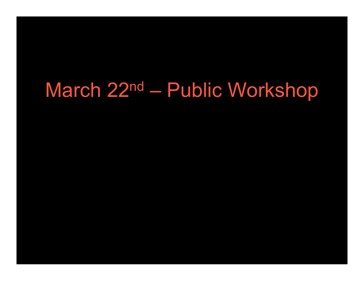# March 22nd – Public Workshop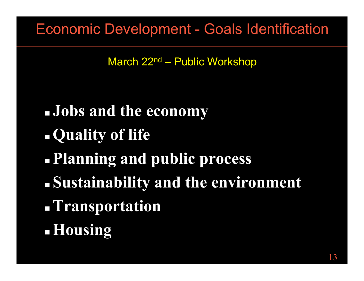### Economic Development - Goals Identification

March 22nd – Public Workshop

#### L. **Jobs and the economy** П **Quality of life** П **Planning and public process** L. **Sustainability and the environment** П **Transportation** П **Housing**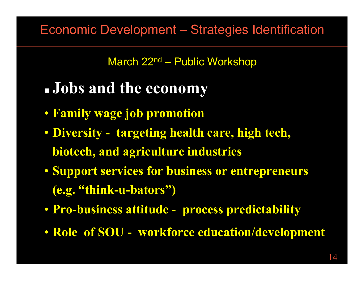#### March 22nd – Public Workshop

#### $\mathcal{L}_{\mathcal{A}}$ **Jobs and the economy**

- **Family wage job promotion**
- **Diversity - targeting health care, high tech, biotech, and agriculture industries**
- **Support services for business or entrepreneurs (e.g. "think-u-bators")**
- **Pro-business attitude - process predictability**
- **Role of SOU - workforce education/development**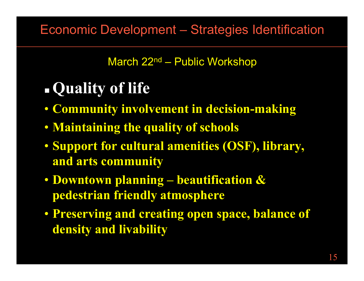#### March 22nd – Public Workshop

#### $\mathcal{L}_{\mathcal{A}}$ **Quality of life**

- **Community involvement in decision-making**
- **Maintaining the quality of schools**
- **Support for cultural amenities (OSF), library, and arts community**
- **Downtown planning – beautification & pedestrian friendly atmosphere**
- **Preserving and creating open space, balance of density and livability**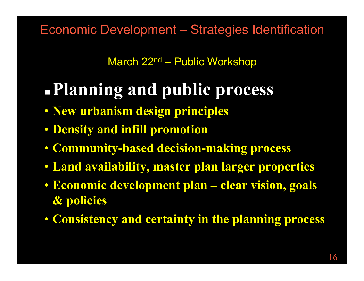#### March 22nd – Public Workshop

#### $\mathcal{L}_{\mathcal{A}}$ **Planning and public process**

- **New urbanism design principles**
- **Density and infill promotion**
- **Community-based decision-making process**
- **Land availability, master plan larger properties**
- **Economic development plan – clear vision, goals & policies**
- **Consistency and certainty in the planning process**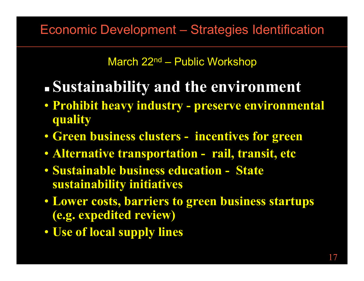#### March 22nd – Public Workshop

- **Sustainability and the environment**
- **Prohibit heavy industry - preserve environmental quality**
- **Green business clusters - incentives for green**
- **Alternative transportation - rail, transit, etc**
- **Sustainable business education - State sustainability initiatives**
- **Lower costs, barriers to green business startups (e.g. expedited review)**
- **Use of local supply lines**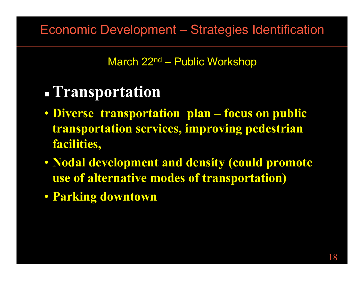#### March 22nd – Public Workshop

#### T. **Transportation**

- **Diverse transportation plan – focus on public transportation services, improving pedestrian facilities,**
- **Nodal development and density (could promote use of alternative modes of transportation)**
- **Parking downtown**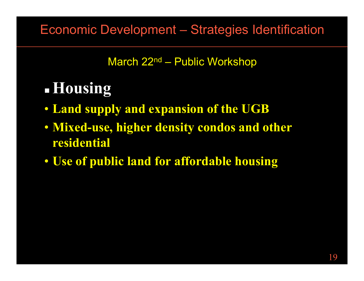#### March 22nd – Public Workshop

#### $\mathcal{L}_{\mathcal{A}}$ **Housing**

- **Land supply and expansion of the UGB**
- **Mixed-use, higher density condos and other residential**
- **Use of public land for affordable housing**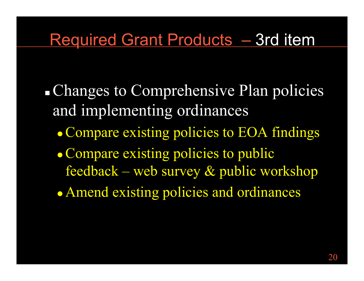- L. **Changes to Comprehensive Plan policies** and implementing ordinances
	- $\bullet$ Compare existing policies to EOA findings
	- $\bullet$ • Compare existing policies to public feedback – web survey & public workshop
	- $\bullet$ Amend existing policies and ordinances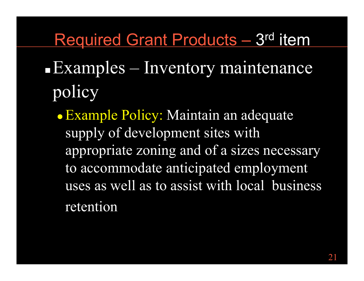Required Grant Products - 3<sup>rd</sup> item

- $\mathcal{L}_{\mathcal{A}}$  Examples – Inventory maintenance policy
	- $\bullet$  Example Policy: Maintain an adequate supply of development sites with appropriate zoning and of a sizes necessary to accommodate anticipated employment uses as well as to assist with local business retention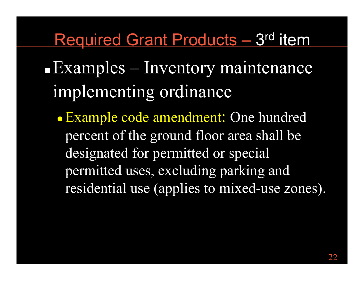Required Grant Products - 3<sup>rd</sup> item

 $\mathcal{L}_{\mathcal{A}}$  Examples – Inventory maintenance implementing ordinance

 $\bullet$  Example code amendment: One hundred percent of the ground floor area shall be designated for permitted or special permitted uses, excluding parking and residential use (applies to mixed-use zones).